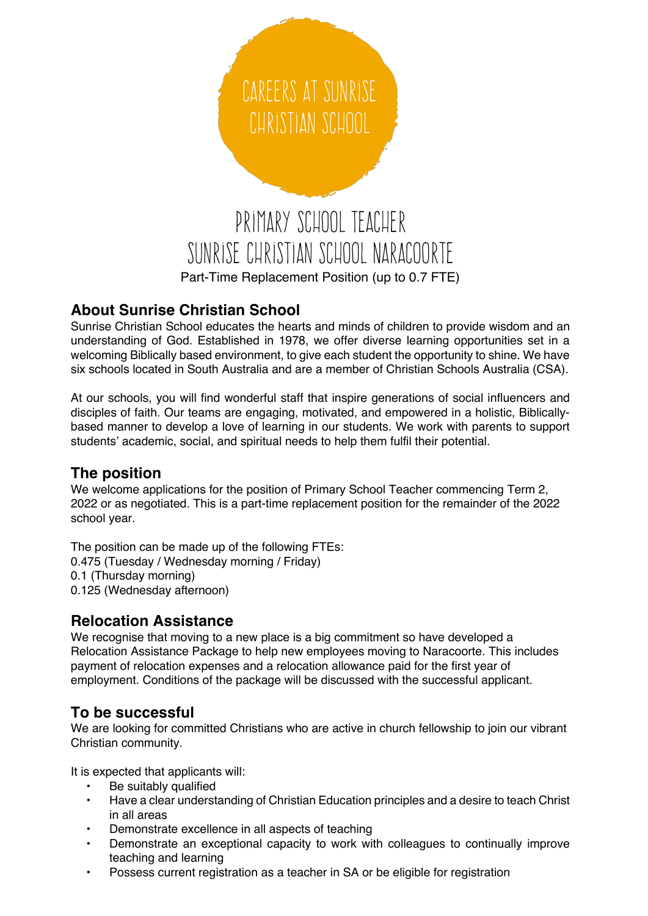

## **About Sunrise Christian School**

Sunrise Christian School educates the hearts and minds of children to provide wisdom and an understanding of God. Established in 1978, we offer diverse learning opportunities set in a welcoming Biblically based environment, to give each student the opportunity to shine. We have six schools located in South Australia and are a member of Christian Schools Australia (CSA).

At our schools, you will find wonderful staff that inspire generations of social influencers and disciples of faith. Our teams are engaging, motivated, and empowered in a holistic, Biblicallybased manner to develop a love of learning in our students. We work with parents to support students' academic, social, and spiritual needs to help them fulfil their potential.

#### **The position**

We welcome applications for the position of Primary School Teacher commencing Term 2, 2022 or as negotiated. This is a part-time replacement position for the remainder of the 2022 school year.

The position can be made up of the following FTEs: 0.475 (Tuesday / Wednesday morning / Friday) 0.1 (Thursday morning) 0.125 (Wednesday afternoon)

#### **Relocation Assistance**

We recognise that moving to a new place is a big commitment so have developed a Relocation Assistance Package to help new employees moving to Naracoorte. This includes payment of relocation expenses and a relocation allowance paid for the first year of employment. Conditions of the package will be discussed with the successful applicant.

## **To be successful**

We are looking for committed Christians who are active in church fellowship to join our vibrant Christian community.

It is expected that applicants will:

- Be suitably qualified
- Have a clear understanding of Christian Education principles and a desire to teach Christ in all areas
- Demonstrate excellence in all aspects of teaching
- Demonstrate an exceptional capacity to work with colleagues to continually improve teaching and learning
- Possess current registration as a teacher in SA or be eligible for registration